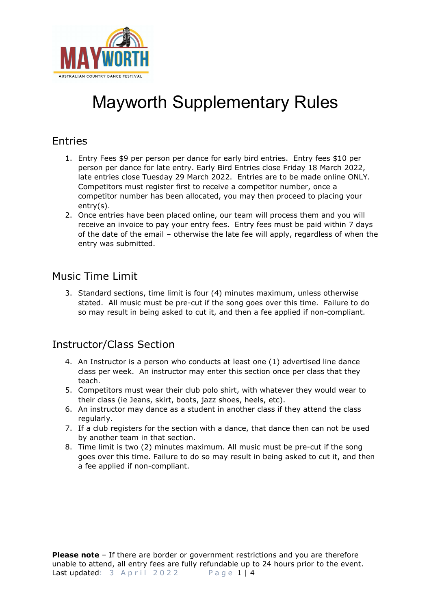

## Entries

- 1. Entry Fees \$9 per person per dance for early bird entries. Entry fees \$10 per person per dance for late entry. Early Bird Entries close Friday 18 March 2022, late entries close Tuesday 29 March 2022. Entries are to be made online ONLY. Competitors must register first to receive a competitor number, once a competitor number has been allocated, you may then proceed to placing your entry(s).
- 2. Once entries have been placed online, our team will process them and you will receive an invoice to pay your entry fees. Entry fees must be paid within 7 days of the date of the email – otherwise the late fee will apply, regardless of when the entry was submitted.

## Music Time Limit

3. Standard sections, time limit is four (4) minutes maximum, unless otherwise stated. All music must be pre-cut if the song goes over this time. Failure to do so may result in being asked to cut it, and then a fee applied if non-compliant.

## Instructor/Class Section

- 4. An Instructor is a person who conducts at least one (1) advertised line dance class per week. An instructor may enter this section once per class that they teach.
- 5. Competitors must wear their club polo shirt, with whatever they would wear to their class (ie Jeans, skirt, boots, jazz shoes, heels, etc).
- 6. An instructor may dance as a student in another class if they attend the class regularly.
- 7. If a club registers for the section with a dance, that dance then can not be used by another team in that section.
- 8. Time limit is two (2) minutes maximum. All music must be pre-cut if the song goes over this time. Failure to do so may result in being asked to cut it, and then a fee applied if non-compliant.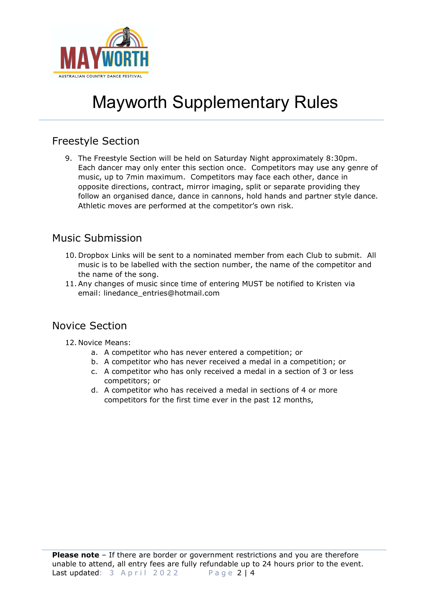

## Freestyle Section

9. The Freestyle Section will be held on Saturday Night approximately 8:30pm. Each dancer may only enter this section once. Competitors may use any genre of music, up to 7min maximum. Competitors may face each other, dance in opposite directions, contract, mirror imaging, split or separate providing they follow an organised dance, dance in cannons, hold hands and partner style dance. Athletic moves are performed at the competitor's own risk.

### Music Submission

- 10. Dropbox Links will be sent to a nominated member from each Club to submit. All music is to be labelled with the section number, the name of the competitor and the name of the song.
- 11. Any changes of music since time of entering MUST be notified to Kristen via email: linedance\_entries@hotmail.com

## Novice Section

- 12. Novice Means:
	- a. A competitor who has never entered a competition; or
	- b. A competitor who has never received a medal in a competition; or
	- c. A competitor who has only received a medal in a section of 3 or less competitors; or
	- d. A competitor who has received a medal in sections of 4 or more competitors for the first time ever in the past 12 months,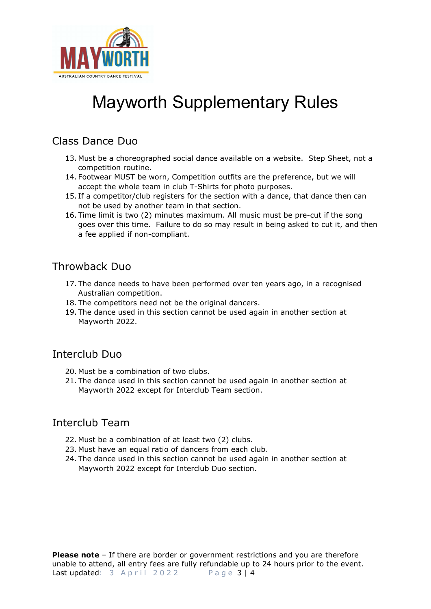

### Class Dance Duo

- 13. Must be a choreographed social dance available on a website. Step Sheet, not a competition routine.
- 14. Footwear MUST be worn, Competition outfits are the preference, but we will accept the whole team in club T-Shirts for photo purposes.
- 15. If a competitor/club registers for the section with a dance, that dance then can not be used by another team in that section.
- 16. Time limit is two (2) minutes maximum. All music must be pre-cut if the song goes over this time. Failure to do so may result in being asked to cut it, and then a fee applied if non-compliant.

### Throwback Duo

- 17. The dance needs to have been performed over ten years ago, in a recognised Australian competition.
- 18. The competitors need not be the original dancers.
- 19. The dance used in this section cannot be used again in another section at Mayworth 2022.

#### Interclub Duo

- 20. Must be a combination of two clubs.
- 21. The dance used in this section cannot be used again in another section at Mayworth 2022 except for Interclub Team section.

## Interclub Team

- 22. Must be a combination of at least two (2) clubs.
- 23. Must have an equal ratio of dancers from each club.
- 24. The dance used in this section cannot be used again in another section at Mayworth 2022 except for Interclub Duo section.